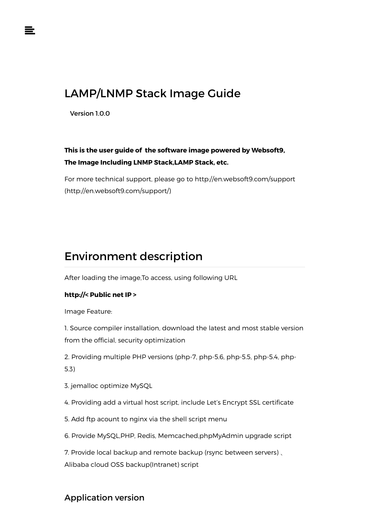# LAMP/LNMP Stack Image Guide

Version 1.0.0

 $\equiv$ 

## **This is the user guide of the software image powered by Websoft9, The Image Including LNMP Stack,LAMP Stack, etc.**

[For more technical support, please go to http://en.websoft9.com/support](http://en.websoft9.com/support/) (http://en.websoft9.com/support/)

# Environment description

After loading the image,To access, using following URL

### **http://< Public net IP >**

Image Feature:

1. Source compiler installation, download the latest and most stable version from the official, security optimization

2. Providing multiple PHP versions (php-7, php-5.6, php-5.5, php-5.4, php-5.3)

- 3. jemalloc optimize MySQL
- 4. Providing add a virtual host script, include Let's Encrypt SSL certificate
- 5. Add ftp acount to nginx via the shell script menu
- 6. Provide MySQL,PHP, Redis, Memcached,phpMyAdmin upgrade script

7. Provide local backup and remote backup (rsync between servers) 、 Alibaba cloud OSS backup(Intranet) script

## <span id="page-0-0"></span>[Application version](#page-0-0)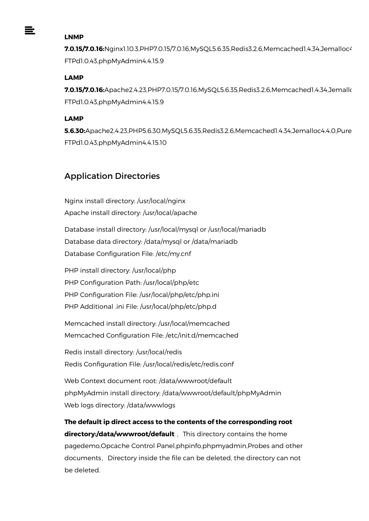## $\equiv$

### **LNMP**

**7.0.15/7.0.16:**Nginx1.10.3,PHP7.0.15/7.0.16,MySQL5.6.35,Redis3.2.6,Memcached1.4.34,Jemalloc4 FTPd1.0.43,phpMyAdmin4.4.15.9

### **LAMP**

**7.0.15/7.0.16:**Apache2.4.23,PHP7.0.15/7.0.16,MySQL5.6.35,Redis3.2.6,Memcached1.4.34,Jemallo FTPd1.0.43,phpMyAdmin4.4.15.9

### **LAMP**

**5.6.30:**Apache2.4.23,PHP5.6.30,MySQL5.6.35,Redis3.2.6,Memcached1.4.34,Jemalloc4.4.0,Pure FTPd1.0.43,phpMyAdmin4.4.15.10

## <span id="page-1-0"></span>[Application Directories](#page-1-0)

<span id="page-1-1"></span>Nginx install directory: /usr/local/nginx Apache install directory: /usr/local/apache Database install directory: /usr/local/mysql or /usr/local/mariadb Database data directory: /data/mysql or /data/mariadb Database Configuration File: /etc/my.cnf PHP install directory: /usr/local/php PHP Configuration Path: /usr/local/php/etc PHP Configuration File: /usr/local/php/etc/php.ini PHP Additional .ini File: /usr/local/php/etc/php.d Memcached install directory: /usr/local/memcached Memcached Configuration File: /etc/init.d/memcached Redis install directory: /usr/local/redis Redis Configuration File: /usr/local/redis/etc/redis.conf Web Context document root: /data/wwwroot/default phpMyAdmin install directory: /data/wwwroot/default/phpMyAdmin Web logs directory: /data/wwwlogs **The default ip direct access to the contents of the corresponding root directory:/data/wwwroot/default**, This directory contains the home pagedemo,Opcache Control Panel,phpinfo,phpmyadmin,Probes and other documents, Directory inside the file can be deleted, the directory can not be deleted.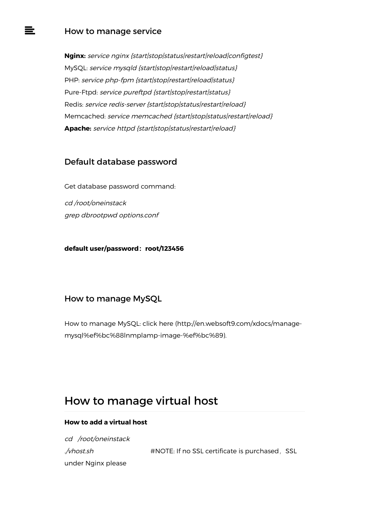### [How to manage service](#page-1-1)

**Nginx:** service nginx {start|stop|status|restart|reload|configtest} MySQL: service mysqld {start|stop|restart|reload|status} PHP: service php-fpm {start|stop|restart|reload|status} Pure-Ftpd: service pureftpd {start|stop|restart|status} Redis: service redis-server {start|stop|status|restart|reload} Memcached: service memcached {start|stop|status|restart|reload} **Apache:** service httpd {start|stop|status|restart|reload}

### <span id="page-2-0"></span>[Default database password](#page-2-0)

Get database password command:

cd /root/oneinstack grep dbrootpwd options.conf

**default user/password:root/123456**

## <span id="page-2-1"></span>[How to manage MySQL](#page-2-1)

[How to manage MySQL: click here \(http://en.websoft9.com/xdocs/manage](http://en.websoft9.com/xdocs/manage-mysql%ef%bc%88lnmplamp-image-%ef%bc%89)mysql%ef%bc%88lnmplamp-image-%ef%bc%89).

# How to manage virtual host

### **How to add a virtual host**

cd /root/oneinstack  $\mathcal{N}$ host.sh  $\mathcal{N}$   $\mathcal{N}$   $\mathcal{N}$   $\mathcal{N}$   $\mathcal{N}$   $\mathcal{N}$   $\mathcal{N}$   $\mathcal{N}$   $\mathcal{N}$   $\mathcal{N}$   $\mathcal{N}$   $\mathcal{N}$   $\mathcal{N}$   $\mathcal{N}$   $\mathcal{N}$   $\mathcal{N}$   $\mathcal{N}$   $\mathcal{N}$   $\mathcal{N}$   $\mathcal{N}$   $\mathcal{N}$   $\mathcal{N}$   $\mathcal{N}$ under Nginx please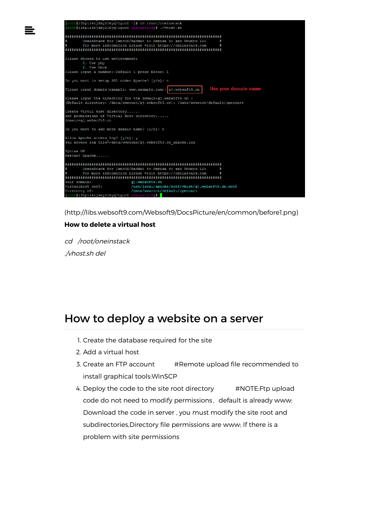

[\(http://libs.websoft9.com/Websoft9/DocsPicture/en/common/before1.png\)](http://libs.websoft9.com/Websoft9/DocsPicture/en/common/before1.png)

### **How to delete a virtual host**

cd /root/oneinstack ./vhost.sh del

 $\equiv$ 

# How to deploy a website on a server

- 1. Create the database required for the site
- 2. Add a virtual host
- 3. Create an FTP account #Remote upload file recommended to install graphical tools:WinSCP
- 4. Deploy the code to the site root directory #NOTE:Ftp upload code do not need to modify permissions, default is already www; Download the code in server , you must modify the site root and subdirectories,Directory file permissions are www; If there is a problem with site permissions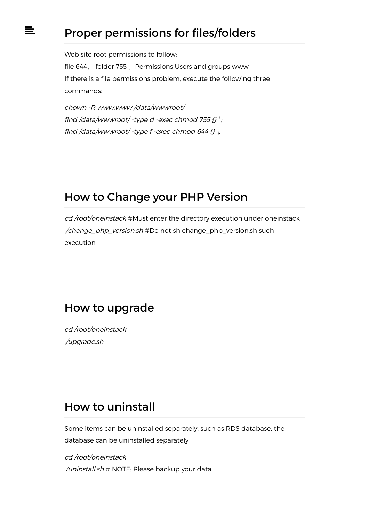# Proper permissions for files/folders

Web site root permissions to follow: file 644, folder 755, Permissions Users and groups www If there is a file permissions problem, execute the following three commands:

chown -R www.www /data/wwwroot/ find /data/wwwroot/ -type d -exec chmod 755  $\{ \}$  \; find /data/wwwroot/ -type f -exec chmod 644  $\{ \}$  |;

# How to Change your PHP Version

cd /root/oneinstack #Must enter the directory execution under oneinstack ./change\_php\_version.sh #Do not sh change\_php\_version.sh such execution

# How to upgrade

cd /root/oneinstack ./upgrade.sh

 $\equiv$ 

# How to uninstall

Some items can be uninstalled separately, such as RDS database, the database can be uninstalled separately

cd /root/oneinstack ./uninstall.sh # NOTE: Please backup your data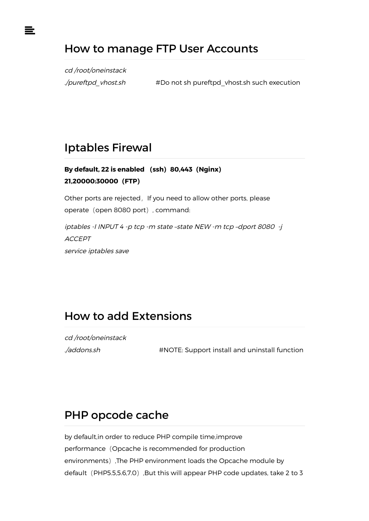

# How to manage FTP User Accounts

cd /root/oneinstack

./pureftpd\_vhost.sh #Do not sh pureftpd\_vhost.sh such execution

# Iptables Firewal

## **By default, 22 is enabled (ssh)80,443(Nginx) 21,20000:30000(FTP)**

Other ports are rejected, If you need to allow other ports, please operate (open 8080 port), command:

iptables -I INPUT 4 -p tcp -m state –state NEW -m tcp –dport 8080 -j ACCEPT service iptables save

# How to add Extensions

cd /root/oneinstack

./addons.sh #NOTE: Support install and uninstall function

# PHP opcode cache

by default,in order to reduce PHP compile time,improve performance (Opcache is recommended for production environments) ,The PHP environment loads the Opcache module by default (PHP5.5,5.6,7.0), But this will appear PHP code updates, take 2 to 3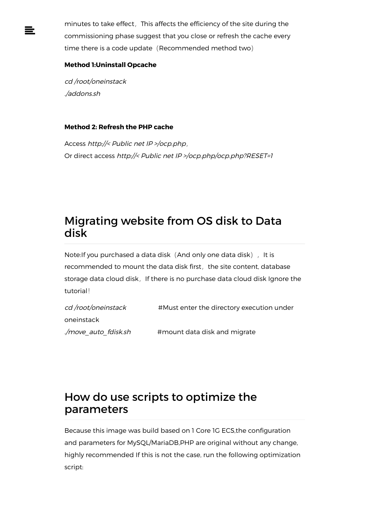minutes to take effect, This affects the efficiency of the site during the commissioning phase suggest that you close or refresh the cache every time there is a code update (Recommended method two)

### **Method 1:Uninstall Opcache**

cd /root/oneinstack ./addons.sh

 $\equiv$ 

#### **Method 2: Refresh the PHP cache**

Access http://< Public net IP >/ocp.php, Or direct access http://< Public net IP >/ocp.php/ocp.php?RESET=1

# Migrating website from OS disk to Data disk

Note:If you purchased a data disk (And only one data disk), It is recommended to mount the data disk first, the site content, database storage data cloud disk, If there is no purchase data cloud disk Ignore the tutorial!

| cd /root/oneinstack  | #Must enter the directory execution under |
|----------------------|-------------------------------------------|
| oneinstack           |                                           |
| ./move auto fdisk.sh | #mount data disk and migrate              |

# How do use scripts to optimize the parameters

Because this image was build based on 1 Core 1G ECS,the configuration and parameters for MySQL/MariaDB,PHP are original without any change, highly recommended If this is not the case, run the following optimization script: